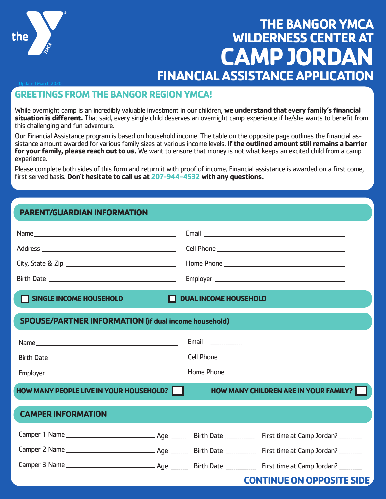

# **THE BANGOR YMCA WILDERNESS CENTER AT CAMP JORDAN FINANCIAL ASSISTANCE APPLICATION**

# **GREETINGS FROM THE BANGOR REGION YMCA!**

While overnight camp is an incredibly valuable investment in our children, **we understand that every family's financial situation is different.** That said, every single child deserves an overnight camp experience if he/she wants to benefit from this challenging and fun adventure.

Our Financial Assistance program is based on household income. The table on the opposite page outlines the financial as-<br>sistance amount awarded for various family sizes at various income levels. If the outlined amount sti **for your family, please reach out to us.** We want to ensure that money is not what keeps an excited child from a camp experience.

Please complete both sides of this form and return it with proof of income. Financial assistance is awarded on a first come, first served basis. **Don't hesitate to call us at 207-944-4532 with any questions.**

## **PARENT/GUARDIAN INFORMATION**

| SINGLE INCOME HOUSEHOLD                                      | and the state of the state of the state of the state of the state of the state of the state of the state of th | DUAL INCOME HOUSEHOLD |                                       |  |  |  |
|--------------------------------------------------------------|----------------------------------------------------------------------------------------------------------------|-----------------------|---------------------------------------|--|--|--|
| <b>SPOUSE/PARTNER INFORMATION (if dual income household)</b> |                                                                                                                |                       |                                       |  |  |  |
|                                                              |                                                                                                                |                       |                                       |  |  |  |
|                                                              |                                                                                                                |                       |                                       |  |  |  |
|                                                              |                                                                                                                |                       |                                       |  |  |  |
| <b>HOW MANY PEOPLE LIVE IN YOUR HOUSEHOLD?</b>               |                                                                                                                |                       | HOW MANY CHILDREN ARE IN YOUR FAMILY? |  |  |  |
| <b>CAMPER INFORMATION</b>                                    |                                                                                                                |                       |                                       |  |  |  |
|                                                              |                                                                                                                |                       |                                       |  |  |  |
|                                                              |                                                                                                                |                       |                                       |  |  |  |
|                                                              |                                                                                                                |                       |                                       |  |  |  |
|                                                              |                                                                                                                |                       | <b>CONTINUE ON OPPOSITE SIDE</b>      |  |  |  |